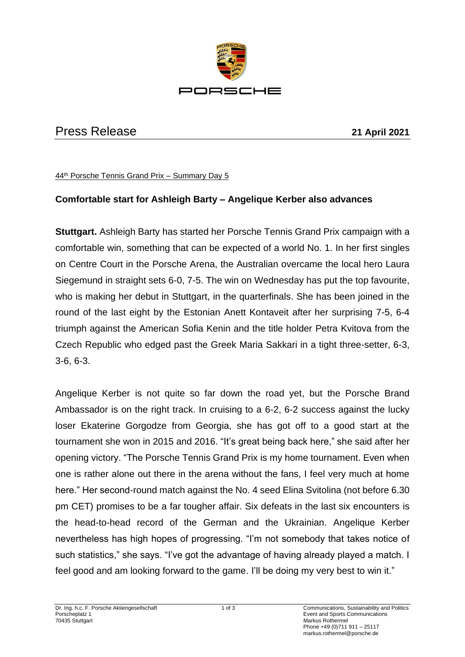

## Press Release **21 April 2021**

44th Porsche Tennis Grand Prix – Summary Day 5

## **Comfortable start for Ashleigh Barty – Angelique Kerber also advances**

**Stuttgart.** Ashleigh Barty has started her Porsche Tennis Grand Prix campaign with a comfortable win, something that can be expected of a world No. 1. In her first singles on Centre Court in the Porsche Arena, the Australian overcame the local hero Laura Siegemund in straight sets 6-0, 7-5. The win on Wednesday has put the top favourite, who is making her debut in Stuttgart, in the quarterfinals. She has been joined in the round of the last eight by the Estonian Anett Kontaveit after her surprising 7-5, 6-4 triumph against the American Sofia Kenin and the title holder Petra Kvitova from the Czech Republic who edged past the Greek Maria Sakkari in a tight three-setter, 6-3, 3-6, 6-3.

Angelique Kerber is not quite so far down the road yet, but the Porsche Brand Ambassador is on the right track. In cruising to a 6-2, 6-2 success against the lucky loser Ekaterine Gorgodze from Georgia, she has got off to a good start at the tournament she won in 2015 and 2016. "It's great being back here," she said after her opening victory. "The Porsche Tennis Grand Prix is my home tournament. Even when one is rather alone out there in the arena without the fans, I feel very much at home here." Her second-round match against the No. 4 seed Elina Svitolina (not before 6.30 pm CET) promises to be a far tougher affair. Six defeats in the last six encounters is the head-to-head record of the German and the Ukrainian. Angelique Kerber nevertheless has high hopes of progressing. "I'm not somebody that takes notice of such statistics," she says. "I've got the advantage of having already played a match. I feel good and am looking forward to the game. I'll be doing my very best to win it."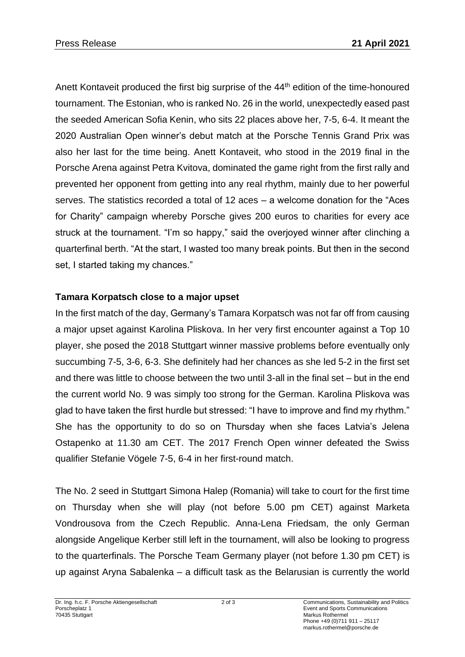Anett Kontaveit produced the first big surprise of the 44<sup>th</sup> edition of the time-honoured tournament. The Estonian, who is ranked No. 26 in the world, unexpectedly eased past the seeded American Sofia Kenin, who sits 22 places above her, 7-5, 6-4. It meant the 2020 Australian Open winner's debut match at the Porsche Tennis Grand Prix was also her last for the time being. Anett Kontaveit, who stood in the 2019 final in the Porsche Arena against Petra Kvitova, dominated the game right from the first rally and prevented her opponent from getting into any real rhythm, mainly due to her powerful serves. The statistics recorded a total of 12 aces – a welcome donation for the "Aces for Charity" campaign whereby Porsche gives 200 euros to charities for every ace struck at the tournament. "I'm so happy," said the overjoyed winner after clinching a quarterfinal berth. "At the start, I wasted too many break points. But then in the second set, I started taking my chances."

## **Tamara Korpatsch close to a major upset**

In the first match of the day, Germany's Tamara Korpatsch was not far off from causing a major upset against Karolina Pliskova. In her very first encounter against a Top 10 player, she posed the 2018 Stuttgart winner massive problems before eventually only succumbing 7-5, 3-6, 6-3. She definitely had her chances as she led 5-2 in the first set and there was little to choose between the two until 3-all in the final set – but in the end the current world No. 9 was simply too strong for the German. Karolina Pliskova was glad to have taken the first hurdle but stressed: "I have to improve and find my rhythm." She has the opportunity to do so on Thursday when she faces Latvia's Jelena Ostapenko at 11.30 am CET. The 2017 French Open winner defeated the Swiss qualifier Stefanie Vögele 7-5, 6-4 in her first-round match.

The No. 2 seed in Stuttgart Simona Halep (Romania) will take to court for the first time on Thursday when she will play (not before 5.00 pm CET) against Marketa Vondrousova from the Czech Republic. Anna-Lena Friedsam, the only German alongside Angelique Kerber still left in the tournament, will also be looking to progress to the quarterfinals. The Porsche Team Germany player (not before 1.30 pm CET) is up against Aryna Sabalenka – a difficult task as the Belarusian is currently the world